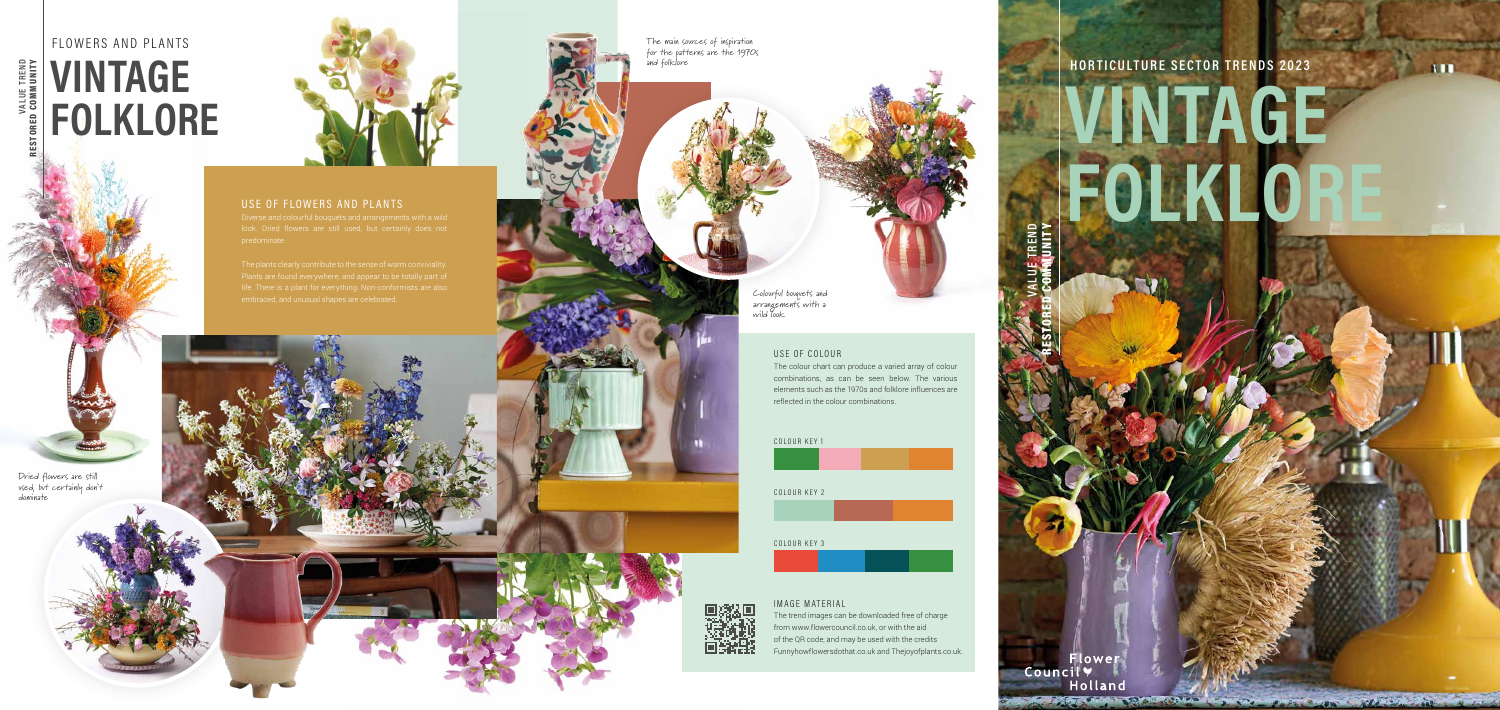## USE OF FLOWERS AND PLANTS

#### USE OF COLOUR

The colour chart can produce a varied array of colour combinations, as can be seen below. The various elements such as the 1970s and folklore influences are reflected in the colour combinations.

**VALUE TREND** 

RESTORED COMMUNITY





# **HORTICULTURE SECTOR TRENDS 2023**

# **VINTAGE FOLKLORE**

A REAL PROPERTY OF A REAL PROPERTY OF

**TILE** 

**VALUE TREND** 

RESTORED COMMUNITY

lower

Holland

Council Y

# FLOWERS AND PLANTS VALUE TREND<br>TORED COMMUNITY **VINTAGE FOLKLORE**

The main sources of inspiration for the patterns are the 1970s and folklore

Colourful bouquets and arrangements with a wild look

Dried flowers are still used, but certainly don't dominate



### IMAGE MATERIAL

The trend images can be downloaded free of charge from www.flowercouncil.co.uk, or with the aid of the QR code, and may be used with the credits Funnyhowflowersdothat.co.uk and Thejoyofplants.co.uk.